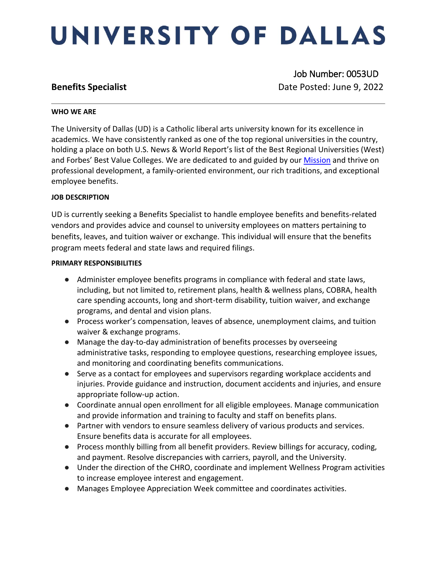# UNIVERSITY OF DALLAS

 Job Number: 0053UD **Benefits Specialist Date Posted: June 9, 2022** 

### **WHO WE ARE**

The University of Dallas (UD) is a Catholic liberal arts university known for its excellence in academics. We have consistently ranked as one of the top regional universities in the country, holding a place on both U.S. News & World Report's list of the Best Regional Universities (West) and Forbes' Best Value Colleges. We are dedicated to and guided by our **Mission** and thrive on professional development, a family-oriented environment, our rich traditions, and exceptional employee benefits.

### **JOB DESCRIPTION**

UD is currently seeking a Benefits Specialist to handle employee benefits and benefits-related vendors and provides advice and counsel to university employees on matters pertaining to benefits, leaves, and tuition waiver or exchange. This individual will ensure that the benefits program meets federal and state laws and required filings.

### **PRIMARY RESPONSIBILITIES**

- Administer employee benefits programs in compliance with federal and state laws, including, but not limited to, retirement plans, health & wellness plans, COBRA, health care spending accounts, long and short-term disability, tuition waiver, and exchange programs, and dental and vision plans.
- Process worker's compensation, leaves of absence, unemployment claims, and tuition waiver & exchange programs.
- Manage the day-to-day administration of benefits processes by overseeing administrative tasks, responding to employee questions, researching employee issues, and monitoring and coordinating benefits communications.
- Serve as a contact for employees and supervisors regarding workplace accidents and injuries. Provide guidance and instruction, document accidents and injuries, and ensure appropriate follow-up action.
- Coordinate annual open enrollment for all eligible employees. Manage communication and provide information and training to faculty and staff on benefits plans.
- Partner with vendors to ensure seamless delivery of various products and services. Ensure benefits data is accurate for all employees.
- Process monthly billing from all benefit providers. Review billings for accuracy, coding, and payment. Resolve discrepancies with carriers, payroll, and the University.
- Under the direction of the CHRO, coordinate and implement Wellness Program activities to increase employee interest and engagement.
- Manages Employee Appreciation Week committee and coordinates activities.